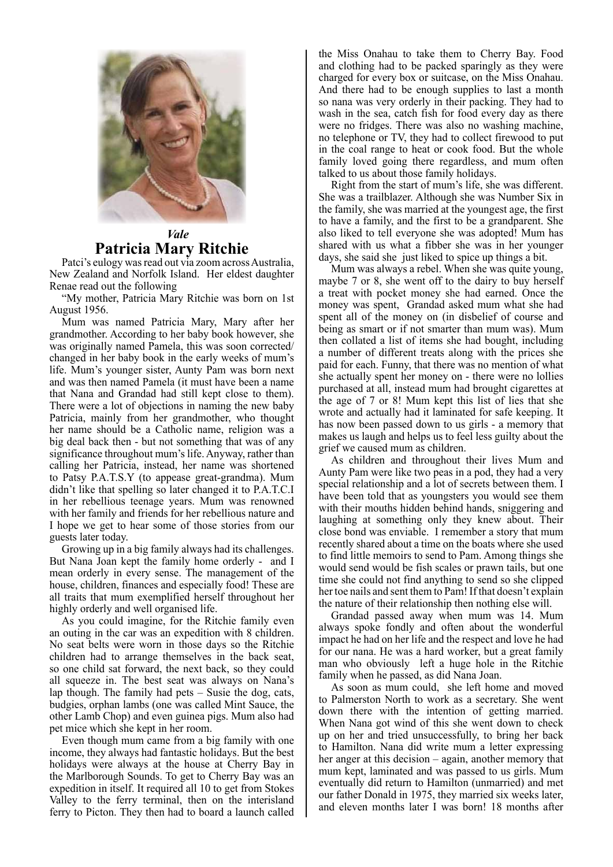

## *Vale* **Patricia Mary Ritchie**

Patci's eulogy was read out via zoom across Australia, New Zealand and Norfolk Island. Her eldest daughter Renae read out the following

"My mother, Patricia Mary Ritchie was born on 1st August 1956.

Mum was named Patricia Mary, Mary after her grandmother. According to her baby book however, she was originally named Pamela, this was soon corrected/ changed in her baby book in the early weeks of mum's life. Mum's younger sister, Aunty Pam was born next and was then named Pamela (it must have been a name that Nana and Grandad had still kept close to them). There were a lot of objections in naming the new baby Patricia, mainly from her grandmother, who thought her name should be a Catholic name, religion was a big deal back then - but not something that was of any significance throughout mum's life. Anyway, rather than calling her Patricia, instead, her name was shortened to Patsy P.A.T.S.Y (to appease great-grandma). Mum didn't like that spelling so later changed it to P.A.T.C.I in her rebellious teenage years. Mum was renowned with her family and friends for her rebellious nature and I hope we get to hear some of those stories from our guests later today.

Growing up in a big family always had its challenges. But Nana Joan kept the family home orderly - and I mean orderly in every sense. The management of the house, children, finances and especially food! These are all traits that mum exemplified herself throughout her highly orderly and well organised life.

As you could imagine, for the Ritchie family even an outing in the car was an expedition with 8 children. No seat belts were worn in those days so the Ritchie children had to arrange themselves in the back seat, so one child sat forward, the next back, so they could all squeeze in. The best seat was always on Nana's lap though. The family had pets – Susie the dog, cats, budgies, orphan lambs (one was called Mint Sauce, the other Lamb Chop) and even guinea pigs. Mum also had pet mice which she kept in her room.

Even though mum came from a big family with one income, they always had fantastic holidays. But the best holidays were always at the house at Cherry Bay in the Marlborough Sounds. To get to Cherry Bay was an expedition in itself. It required all 10 to get from Stokes Valley to the ferry terminal, then on the interisland ferry to Picton. They then had to board a launch called the Miss Onahau to take them to Cherry Bay. Food and clothing had to be packed sparingly as they were charged for every box or suitcase, on the Miss Onahau. And there had to be enough supplies to last a month so nana was very orderly in their packing. They had to wash in the sea, catch fish for food every day as there were no fridges. There was also no washing machine, no telephone or TV, they had to collect firewood to put in the coal range to heat or cook food. But the whole family loved going there regardless, and mum often talked to us about those family holidays.

Right from the start of mum's life, she was different. She was a trailblazer. Although she was Number Six in the family, she was married at the youngest age, the first to have a family, and the first to be a grandparent. She also liked to tell everyone she was adopted! Mum has shared with us what a fibber she was in her younger days, she said she just liked to spice up things a bit.

Mum was always a rebel. When she was quite young, maybe 7 or 8, she went off to the dairy to buy herself a treat with pocket money she had earned. Once the money was spent, Grandad asked mum what she had spent all of the money on (in disbelief of course and being as smart or if not smarter than mum was). Mum then collated a list of items she had bought, including a number of different treats along with the prices she paid for each. Funny, that there was no mention of what she actually spent her money on - there were no lollies purchased at all, instead mum had brought cigarettes at the age of 7 or 8! Mum kept this list of lies that she wrote and actually had it laminated for safe keeping. It has now been passed down to us girls - a memory that makes us laugh and helps us to feel less guilty about the grief we caused mum as children.

As children and throughout their lives Mum and Aunty Pam were like two peas in a pod, they had a very special relationship and a lot of secrets between them. I have been told that as youngsters you would see them with their mouths hidden behind hands, sniggering and laughing at something only they knew about. Their close bond was enviable. I remember a story that mum recently shared about a time on the boats where she used to find little memoirs to send to Pam. Among things she would send would be fish scales or prawn tails, but one time she could not find anything to send so she clipped her toe nails and sent them to Pam! If that doesn't explain the nature of their relationship then nothing else will.

Grandad passed away when mum was 14. Mum always spoke fondly and often about the wonderful impact he had on her life and the respect and love he had for our nana. He was a hard worker, but a great family man who obviously left a huge hole in the Ritchie family when he passed, as did Nana Joan.

As soon as mum could, she left home and moved to Palmerston North to work as a secretary. She went down there with the intention of getting married. When Nana got wind of this she went down to check up on her and tried unsuccessfully, to bring her back to Hamilton. Nana did write mum a letter expressing her anger at this decision – again, another memory that mum kept, laminated and was passed to us girls. Mum eventually did return to Hamilton (unmarried) and met our father Donald in 1975, they married six weeks later, and eleven months later I was born! 18 months after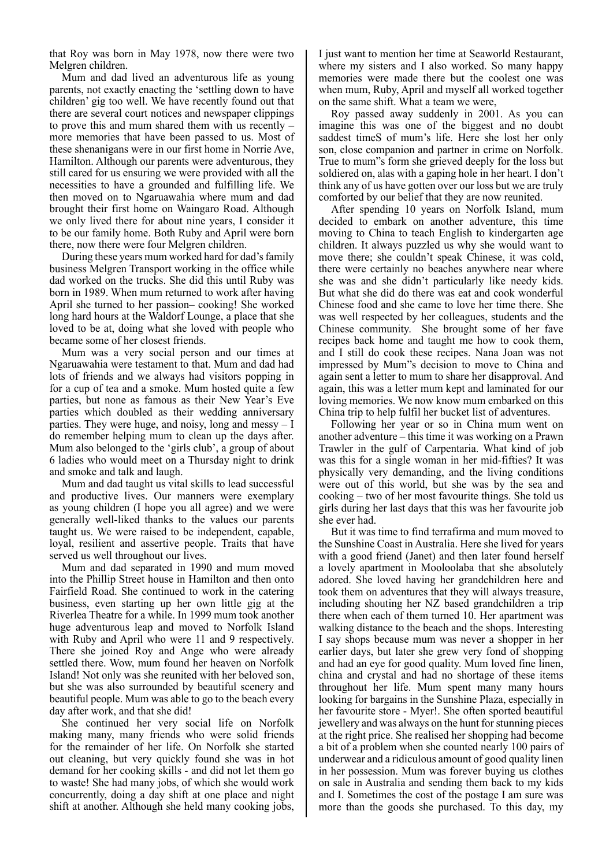that Roy was born in May 1978, now there were two Melgren children.

Mum and dad lived an adventurous life as young parents, not exactly enacting the 'settling down to have children' gig too well. We have recently found out that there are several court notices and newspaper clippings to prove this and mum shared them with us recently – more memories that have been passed to us. Most of these shenanigans were in our first home in Norrie Ave, Hamilton. Although our parents were adventurous, they still cared for us ensuring we were provided with all the necessities to have a grounded and fulfilling life. We then moved on to Ngaruawahia where mum and dad brought their first home on Waingaro Road. Although we only lived there for about nine years, I consider it to be our family home. Both Ruby and April were born there, now there were four Melgren children.

During these years mum worked hard for dad's family business Melgren Transport working in the office while dad worked on the trucks. She did this until Ruby was born in 1989. When mum returned to work after having April she turned to her passion– cooking! She worked long hard hours at the Waldorf Lounge, a place that she loved to be at, doing what she loved with people who became some of her closest friends.

Mum was a very social person and our times at Ngaruawahia were testament to that. Mum and dad had lots of friends and we always had visitors popping in for a cup of tea and a smoke. Mum hosted quite a few parties, but none as famous as their New Year's Eve parties which doubled as their wedding anniversary parties. They were huge, and noisy, long and messy – I do remember helping mum to clean up the days after. Mum also belonged to the 'girls club', a group of about 6 ladies who would meet on a Thursday night to drink and smoke and talk and laugh.

Mum and dad taught us vital skills to lead successful and productive lives. Our manners were exemplary as young children (I hope you all agree) and we were generally well-liked thanks to the values our parents taught us. We were raised to be independent, capable, loyal, resilient and assertive people. Traits that have served us well throughout our lives.

Mum and dad separated in 1990 and mum moved into the Phillip Street house in Hamilton and then onto Fairfield Road. She continued to work in the catering business, even starting up her own little gig at the Riverlea Theatre for a while. In 1999 mum took another huge adventurous leap and moved to Norfolk Island with Ruby and April who were 11 and 9 respectively. There she joined Roy and Ange who were already settled there. Wow, mum found her heaven on Norfolk Island! Not only was she reunited with her beloved son, but she was also surrounded by beautiful scenery and beautiful people. Mum was able to go to the beach every day after work, and that she did!

She continued her very social life on Norfolk making many, many friends who were solid friends for the remainder of her life. On Norfolk she started out cleaning, but very quickly found she was in hot demand for her cooking skills - and did not let them go to waste! She had many jobs, of which she would work concurrently, doing a day shift at one place and night shift at another. Although she held many cooking jobs,

I just want to mention her time at Seaworld Restaurant, where my sisters and I also worked. So many happy memories were made there but the coolest one was when mum, Ruby, April and myself all worked together on the same shift. What a team we were,

Roy passed away suddenly in 2001. As you can imagine this was one of the biggest and no doubt saddest timeS of mum's life. Here she lost her only son, close companion and partner in crime on Norfolk. True to mum"s form she grieved deeply for the loss but soldiered on, alas with a gaping hole in her heart. I don't think any of us have gotten over our loss but we are truly comforted by our belief that they are now reunited.

After spending 10 years on Norfolk Island, mum decided to embark on another adventure, this time moving to China to teach English to kindergarten age children. It always puzzled us why she would want to move there; she couldn't speak Chinese, it was cold, there were certainly no beaches anywhere near where she was and she didn't particularly like needy kids. But what she did do there was eat and cook wonderful Chinese food and she came to love her time there. She was well respected by her colleagues, students and the Chinese community. She brought some of her fave recipes back home and taught me how to cook them, and I still do cook these recipes. Nana Joan was not impressed by Mum"s decision to move to China and again sent a letter to mum to share her disapproval. And again, this was a letter mum kept and laminated for our loving memories. We now know mum embarked on this China trip to help fulfil her bucket list of adventures.

Following her year or so in China mum went on another adventure – this time it was working on a Prawn Trawler in the gulf of Carpentaria. What kind of job was this for a single woman in her mid-fifties? It was physically very demanding, and the living conditions were out of this world, but she was by the sea and cooking – two of her most favourite things. She told us girls during her last days that this was her favourite job she ever had.

But it was time to find terrafirma and mum moved to the Sunshine Coast in Australia. Here she lived for years with a good friend (Janet) and then later found herself a lovely apartment in Mooloolaba that she absolutely adored. She loved having her grandchildren here and took them on adventures that they will always treasure, including shouting her NZ based grandchildren a trip there when each of them turned 10. Her apartment was walking distance to the beach and the shops. Interesting I say shops because mum was never a shopper in her earlier days, but later she grew very fond of shopping and had an eye for good quality. Mum loved fine linen, china and crystal and had no shortage of these items throughout her life. Mum spent many many hours looking for bargains in the Sunshine Plaza, especially in her favourite store - Myer!. She often sported beautiful jewellery and was always on the hunt for stunning pieces at the right price. She realised her shopping had become a bit of a problem when she counted nearly 100 pairs of underwear and a ridiculous amount of good quality linen in her possession. Mum was forever buying us clothes on sale in Australia and sending them back to my kids and I. Sometimes the cost of the postage I am sure was more than the goods she purchased. To this day, my